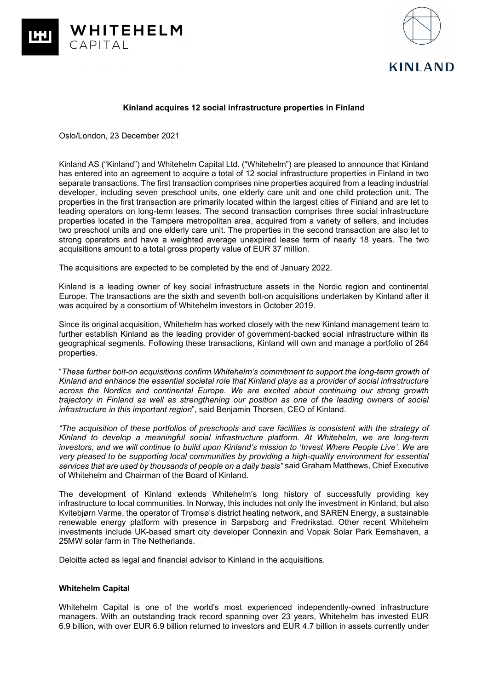



### **Kinland acquires 12 social infrastructure properties in Finland**

Oslo/London, 23 December 2021

Kinland AS ("Kinland") and Whitehelm Capital Ltd. ("Whitehelm") are pleased to announce that Kinland has entered into an agreement to acquire a total of 12 social infrastructure properties in Finland in two separate transactions. The first transaction comprises nine properties acquired from a leading industrial developer, including seven preschool units, one elderly care unit and one child protection unit. The properties in the first transaction are primarily located within the largest cities of Finland and are let to leading operators on long-term leases. The second transaction comprises three social infrastructure properties located in the Tampere metropolitan area, acquired from a variety of sellers, and includes two preschool units and one elderly care unit. The properties in the second transaction are also let to strong operators and have a weighted average unexpired lease term of nearly 18 years. The two acquisitions amount to a total gross property value of EUR 37 million.

The acquisitions are expected to be completed by the end of January 2022.

Kinland is a leading owner of key social infrastructure assets in the Nordic region and continental Europe. The transactions are the sixth and seventh bolt-on acquisitions undertaken by Kinland after it was acquired by a consortium of Whitehelm investors in October 2019.

Since its original acquisition, Whitehelm has worked closely with the new Kinland management team to further establish Kinland as the leading provider of government-backed social infrastructure within its geographical segments. Following these transactions, Kinland will own and manage a portfolio of 264 properties.

"*These further bolt-on acquisitions confirm Whitehelm's commitment to support the long-term growth of Kinland and enhance the essential societal role that Kinland plays as a provider of social infrastructure across the Nordics and continental Europe. We are excited about continuing our strong growth trajectory in Finland as well as strengthening our position as one of the leading owners of social infrastructure in this important region*", said Benjamin Thorsen, CEO of Kinland.

*"The acquisition of these portfolios of preschools and care facilities is consistent with the strategy of Kinland to develop a meaningful social infrastructure platform. At Whitehelm, we are long-term investors, and we will continue to build upon Kinland's mission to 'Invest Where People Live'. We are very pleased to be supporting local communities by providing a high-quality environment for essential services that are used by thousands of people on a daily basis"* said Graham Matthews, Chief Executive of Whitehelm and Chairman of the Board of Kinland.

The development of Kinland extends Whitehelm's long history of successfully providing key infrastructure to local communities. In Norway, this includes not only the investment in Kinland, but also Kvitebjørn Varme, the operator of Tromsø's district heating network, and SAREN Energy, a sustainable renewable energy platform with presence in Sarpsborg and Fredrikstad. Other recent Whitehelm investments include UK-based smart city developer Connexin and Vopak Solar Park Eemshaven, a 25MW solar farm in The Netherlands.

Deloitte acted as legal and financial advisor to Kinland in the acquisitions.

# **Whitehelm Capital**

Whitehelm Capital is one of the world's most experienced independently-owned infrastructure managers. With an outstanding track record spanning over 23 years, Whitehelm has invested EUR 6.9 billion, with over EUR 6.9 billion returned to investors and EUR 4.7 billion in assets currently under